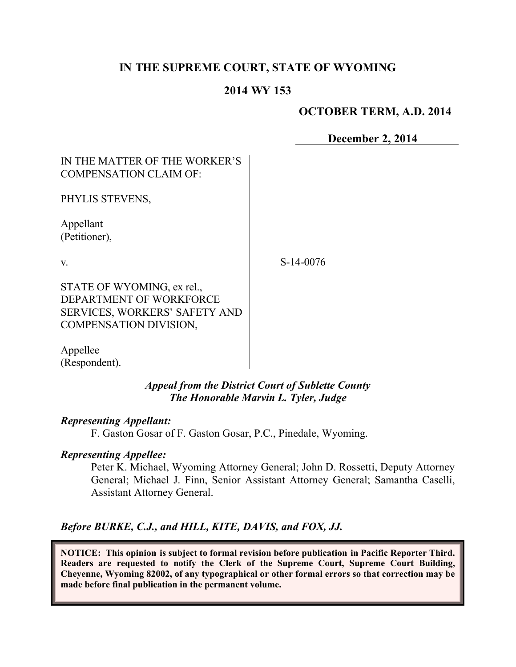# **IN THE SUPREME COURT, STATE OF WYOMING**

### **2014 WY 153**

## **OCTOBER TERM, A.D. 2014**

**December 2, 2014**

# IN THE MATTER OF THE WORKER'S COMPENSATION CLAIM OF:

PHYLIS STEVENS,

Appellant (Petitioner),

v.

S-14-0076

STATE OF WYOMING, ex rel., DEPARTMENT OF WORKFORCE SERVICES, WORKERS' SAFETY AND COMPENSATION DIVISION,

Appellee (Respondent).

## *Appeal from the District Court of Sublette County The Honorable Marvin L. Tyler, Judge*

#### *Representing Appellant:*

F. Gaston Gosar of F. Gaston Gosar, P.C., Pinedale, Wyoming.

#### *Representing Appellee:*

Peter K. Michael, Wyoming Attorney General; John D. Rossetti, Deputy Attorney General; Michael J. Finn, Senior Assistant Attorney General; Samantha Caselli, Assistant Attorney General.

# *Before BURKE, C.J., and HILL, KITE, DAVIS, and FOX, JJ.*

**NOTICE: This opinion is subject to formal revision before publication in Pacific Reporter Third. Readers are requested to notify the Clerk of the Supreme Court, Supreme Court Building, Cheyenne, Wyoming 82002, of any typographical or other formal errors so that correction may be made before final publication in the permanent volume.**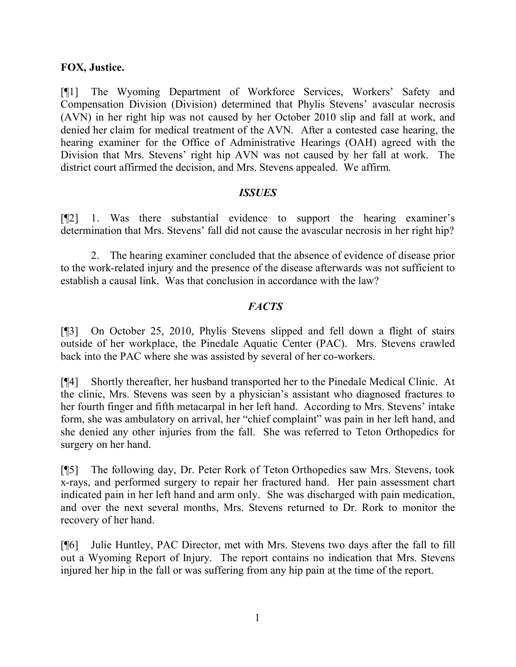### **FOX, Justice.**

[¶1] The Wyoming Department of Workforce Services, Workers' Safety and Compensation Division (Division) determined that Phylis Stevens' avascular necrosis (AVN) in her right hip was not caused by her October 2010 slip and fall at work, and denied her claim for medical treatment of the AVN. After a contested case hearing, the hearing examiner for the Office of Administrative Hearings (OAH) agreed with the Division that Mrs. Stevens' right hip AVN was not caused by her fall at work. The district court affirmed the decision, and Mrs. Stevens appealed. We affirm.

#### *ISSUES*

[¶2] 1. Was there substantial evidence to support the hearing examiner's determination that Mrs. Stevens' fall did not cause the avascular necrosis in her right hip?

2. The hearing examiner concluded that the absence of evidence of disease prior to the work-related injury and the presence of the disease afterwards was not sufficient to establish a causal link. Was that conclusion in accordance with the law?

## *FACTS*

[¶3] On October 25, 2010, Phylis Stevens slipped and fell down a flight of stairs outside of her workplace, the Pinedale Aquatic Center (PAC). Mrs. Stevens crawled back into the PAC where she was assisted by several of her co-workers.

[¶4] Shortly thereafter, her husband transported her to the Pinedale Medical Clinic. At the clinic, Mrs. Stevens was seen by a physician's assistant who diagnosed fractures to her fourth finger and fifth metacarpal in her left hand. According to Mrs. Stevens' intake form, she was ambulatory on arrival, her "chief complaint" was pain in her left hand, and she denied any other injuries from the fall. She was referred to Teton Orthopedics for surgery on her hand.

[¶5] The following day, Dr. Peter Rork of Teton Orthopedics saw Mrs. Stevens, took x-rays, and performed surgery to repair her fractured hand. Her pain assessment chart indicated pain in her left hand and arm only. She was discharged with pain medication, and over the next several months, Mrs. Stevens returned to Dr. Rork to monitor the recovery of her hand.

[¶6] Julie Huntley, PAC Director, met with Mrs. Stevens two days after the fall to fill out a Wyoming Report of Injury. The report contains no indication that Mrs. Stevens injured her hip in the fall or was suffering from any hip pain at the time of the report.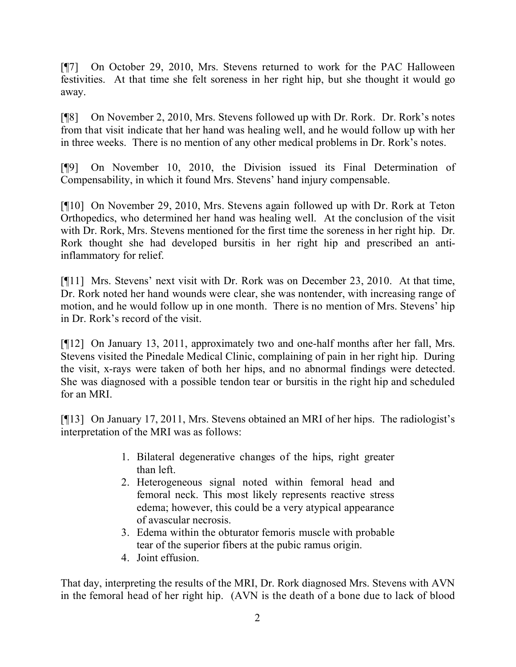[¶7] On October 29, 2010, Mrs. Stevens returned to work for the PAC Halloween festivities. At that time she felt soreness in her right hip, but she thought it would go away.

[¶8] On November 2, 2010, Mrs. Stevens followed up with Dr. Rork. Dr. Rork's notes from that visit indicate that her hand was healing well, and he would follow up with her in three weeks. There is no mention of any other medical problems in Dr. Rork's notes.

[¶9] On November 10, 2010, the Division issued its Final Determination of Compensability, in which it found Mrs. Stevens' hand injury compensable.

[¶10] On November 29, 2010, Mrs. Stevens again followed up with Dr. Rork at Teton Orthopedics, who determined her hand was healing well. At the conclusion of the visit with Dr. Rork, Mrs. Stevens mentioned for the first time the soreness in her right hip. Dr. Rork thought she had developed bursitis in her right hip and prescribed an antiinflammatory for relief.

[¶11] Mrs. Stevens' next visit with Dr. Rork was on December 23, 2010. At that time, Dr. Rork noted her hand wounds were clear, she was nontender, with increasing range of motion, and he would follow up in one month. There is no mention of Mrs. Stevens' hip in Dr. Rork's record of the visit.

[¶12] On January 13, 2011, approximately two and one-half months after her fall, Mrs. Stevens visited the Pinedale Medical Clinic, complaining of pain in her right hip. During the visit, x-rays were taken of both her hips, and no abnormal findings were detected. She was diagnosed with a possible tendon tear or bursitis in the right hip and scheduled for an MRI.

[¶13] On January 17, 2011, Mrs. Stevens obtained an MRI of her hips. The radiologist's interpretation of the MRI was as follows:

- 1. Bilateral degenerative changes of the hips, right greater than left.
- 2. Heterogeneous signal noted within femoral head and femoral neck. This most likely represents reactive stress edema; however, this could be a very atypical appearance of avascular necrosis.
- 3. Edema within the obturator femoris muscle with probable tear of the superior fibers at the pubic ramus origin.
- 4. Joint effusion.

That day, interpreting the results of the MRI, Dr. Rork diagnosed Mrs. Stevens with AVN in the femoral head of her right hip. (AVN is the death of a bone due to lack of blood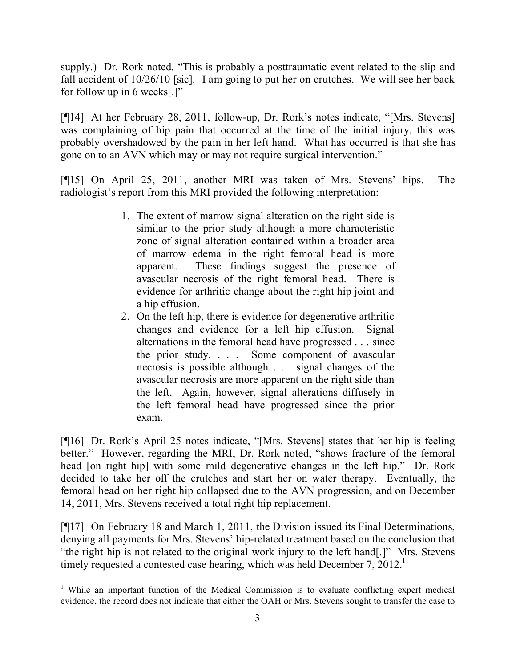supply.) Dr. Rork noted, "This is probably a posttraumatic event related to the slip and fall accident of  $10/26/10$  [sic]. I am going to put her on crutches. We will see her back for follow up in 6 weeks[.]"

[¶14] At her February 28, 2011, follow-up, Dr. Rork's notes indicate, "[Mrs. Stevens] was complaining of hip pain that occurred at the time of the initial injury, this was probably overshadowed by the pain in her left hand. What has occurred is that she has gone on to an AVN which may or may not require surgical intervention."

[¶15] On April 25, 2011, another MRI was taken of Mrs. Stevens' hips. The radiologist's report from this MRI provided the following interpretation:

- 1. The extent of marrow signal alteration on the right side is similar to the prior study although a more characteristic zone of signal alteration contained within a broader area of marrow edema in the right femoral head is more apparent. These findings suggest the presence of avascular necrosis of the right femoral head. There is evidence for arthritic change about the right hip joint and a hip effusion.
- 2. On the left hip, there is evidence for degenerative arthritic changes and evidence for a left hip effusion. Signal alternations in the femoral head have progressed . . . since the prior study. . . . Some component of avascular necrosis is possible although . . . signal changes of the avascular necrosis are more apparent on the right side than the left. Again, however, signal alterations diffusely in the left femoral head have progressed since the prior exam.

[¶16] Dr. Rork's April 25 notes indicate, "[Mrs. Stevens] states that her hip is feeling better." However, regarding the MRI, Dr. Rork noted, "shows fracture of the femoral head [on right hip] with some mild degenerative changes in the left hip." Dr. Rork decided to take her off the crutches and start her on water therapy. Eventually, the femoral head on her right hip collapsed due to the AVN progression, and on December 14, 2011, Mrs. Stevens received a total right hip replacement.

[¶17] On February 18 and March 1, 2011, the Division issued its Final Determinations, denying all payments for Mrs. Stevens' hip-related treatment based on the conclusion that "the right hip is not related to the original work injury to the left hand[.]" Mrs. Stevens timely requested a contested case hearing, which was held December 7,  $2012<sup>1</sup>$ 

 <sup>1</sup> While an important function of the Medical Commission is to evaluate conflicting expert medical evidence, the record does not indicate that either the OAH or Mrs. Stevens sought to transfer the case to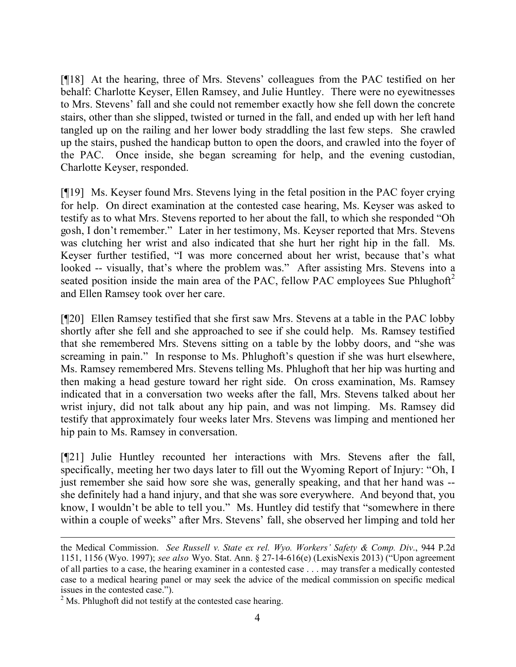[¶18] At the hearing, three of Mrs. Stevens' colleagues from the PAC testified on her behalf: Charlotte Keyser, Ellen Ramsey, and Julie Huntley. There were no eyewitnesses to Mrs. Stevens' fall and she could not remember exactly how she fell down the concrete stairs, other than she slipped, twisted or turned in the fall, and ended up with her left hand tangled up on the railing and her lower body straddling the last few steps. She crawled up the stairs, pushed the handicap button to open the doors, and crawled into the foyer of the PAC. Once inside, she began screaming for help, and the evening custodian, Charlotte Keyser, responded.

[¶19] Ms. Keyser found Mrs. Stevens lying in the fetal position in the PAC foyer crying for help. On direct examination at the contested case hearing, Ms. Keyser was asked to testify as to what Mrs. Stevens reported to her about the fall, to which she responded "Oh gosh, I don't remember." Later in her testimony, Ms. Keyser reported that Mrs. Stevens was clutching her wrist and also indicated that she hurt her right hip in the fall. Ms. Keyser further testified, "I was more concerned about her wrist, because that's what looked -- visually, that's where the problem was." After assisting Mrs. Stevens into a seated position inside the main area of the PAC, fellow PAC employees Sue Phlughoft<sup>2</sup> and Ellen Ramsey took over her care.

[¶20] Ellen Ramsey testified that she first saw Mrs. Stevens at a table in the PAC lobby shortly after she fell and she approached to see if she could help. Ms. Ramsey testified that she remembered Mrs. Stevens sitting on a table by the lobby doors, and "she was screaming in pain." In response to Ms. Phlughoft's question if she was hurt elsewhere, Ms. Ramsey remembered Mrs. Stevens telling Ms. Phlughoft that her hip was hurting and then making a head gesture toward her right side. On cross examination, Ms. Ramsey indicated that in a conversation two weeks after the fall, Mrs. Stevens talked about her wrist injury, did not talk about any hip pain, and was not limping. Ms. Ramsey did testify that approximately four weeks later Mrs. Stevens was limping and mentioned her hip pain to Ms. Ramsey in conversation.

[¶21] Julie Huntley recounted her interactions with Mrs. Stevens after the fall, specifically, meeting her two days later to fill out the Wyoming Report of Injury: "Oh, I just remember she said how sore she was, generally speaking, and that her hand was -she definitely had a hand injury, and that she was sore everywhere. And beyond that, you know, I wouldn't be able to tell you." Ms. Huntley did testify that "somewhere in there within a couple of weeks" after Mrs. Stevens' fall, she observed her limping and told her

the Medical Commission. *See Russell v. State ex rel. Wyo. Workers' Safety & Comp. Div*., 944 P.2d 1151, 1156 (Wyo. 1997); *see also* Wyo. Stat. Ann. § 27-14-616(e) (LexisNexis 2013) ("Upon agreement of all parties to a case, the hearing examiner in a contested case . . . may transfer a medically contested case to a medical hearing panel or may seek the advice of the medical commission on specific medical issues in the contested case.").

 $<sup>2</sup>$  Ms. Phlughoft did not testify at the contested case hearing.</sup>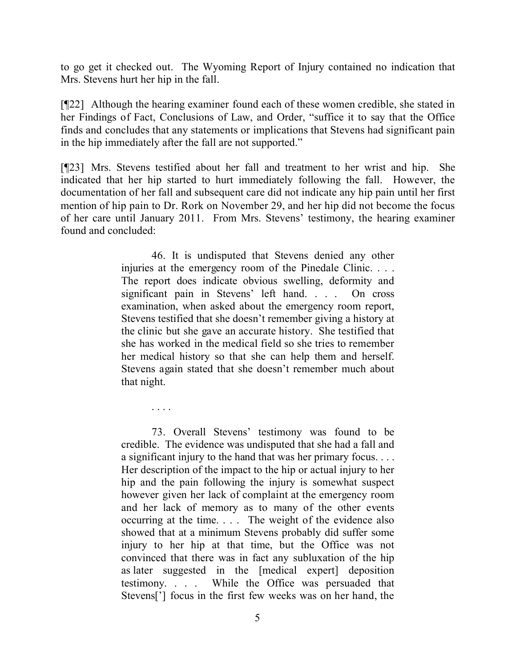to go get it checked out. The Wyoming Report of Injury contained no indication that Mrs. Stevens hurt her hip in the fall.

[¶22] Although the hearing examiner found each of these women credible, she stated in her Findings of Fact, Conclusions of Law, and Order, "suffice it to say that the Office finds and concludes that any statements or implications that Stevens had significant pain in the hip immediately after the fall are not supported."

[¶23] Mrs. Stevens testified about her fall and treatment to her wrist and hip. She indicated that her hip started to hurt immediately following the fall. However, the documentation of her fall and subsequent care did not indicate any hip pain until her first mention of hip pain to Dr. Rork on November 29, and her hip did not become the focus of her care until January 2011. From Mrs. Stevens' testimony, the hearing examiner found and concluded:

> 46. It is undisputed that Stevens denied any other injuries at the emergency room of the Pinedale Clinic. . . . The report does indicate obvious swelling, deformity and significant pain in Stevens' left hand. . . . On cross examination, when asked about the emergency room report, Stevens testified that she doesn't remember giving a history at the clinic but she gave an accurate history. She testified that she has worked in the medical field so she tries to remember her medical history so that she can help them and herself. Stevens again stated that she doesn't remember much about that night.

> > . . . .

73. Overall Stevens' testimony was found to be credible. The evidence was undisputed that she had a fall and a significant injury to the hand that was her primary focus. . . . Her description of the impact to the hip or actual injury to her hip and the pain following the injury is somewhat suspect however given her lack of complaint at the emergency room and her lack of memory as to many of the other events occurring at the time. . . . The weight of the evidence also showed that at a minimum Stevens probably did suffer some injury to her hip at that time, but the Office was not convinced that there was in fact any subluxation of the hip as later suggested in the [medical expert] deposition testimony. . . . While the Office was persuaded that Stevens['] focus in the first few weeks was on her hand, the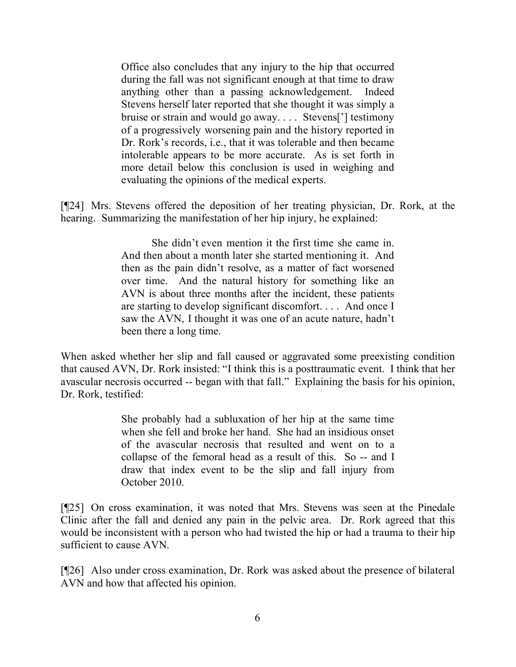Office also concludes that any injury to the hip that occurred during the fall was not significant enough at that time to draw anything other than a passing acknowledgement. Indeed Stevens herself later reported that she thought it was simply a bruise or strain and would go away. . . . Stevens['] testimony of a progressively worsening pain and the history reported in Dr. Rork's records, i.e., that it was tolerable and then became intolerable appears to be more accurate. As is set forth in more detail below this conclusion is used in weighing and evaluating the opinions of the medical experts.

[¶24] Mrs. Stevens offered the deposition of her treating physician, Dr. Rork, at the hearing. Summarizing the manifestation of her hip injury, he explained:

> She didn't even mention it the first time she came in. And then about a month later she started mentioning it. And then as the pain didn't resolve, as a matter of fact worsened over time. And the natural history for something like an AVN is about three months after the incident, these patients are starting to develop significant discomfort. . . . And once I saw the AVN, I thought it was one of an acute nature, hadn't been there a long time.

When asked whether her slip and fall caused or aggravated some preexisting condition that caused AVN, Dr. Rork insisted: "I think this is a posttraumatic event. I think that her avascular necrosis occurred -- began with that fall." Explaining the basis for his opinion, Dr. Rork, testified:

> She probably had a subluxation of her hip at the same time when she fell and broke her hand. She had an insidious onset of the avascular necrosis that resulted and went on to a collapse of the femoral head as a result of this. So -- and I draw that index event to be the slip and fall injury from October 2010.

[¶25] On cross examination, it was noted that Mrs. Stevens was seen at the Pinedale Clinic after the fall and denied any pain in the pelvic area. Dr. Rork agreed that this would be inconsistent with a person who had twisted the hip or had a trauma to their hip sufficient to cause AVN.

[¶26] Also under cross examination, Dr. Rork was asked about the presence of bilateral AVN and how that affected his opinion.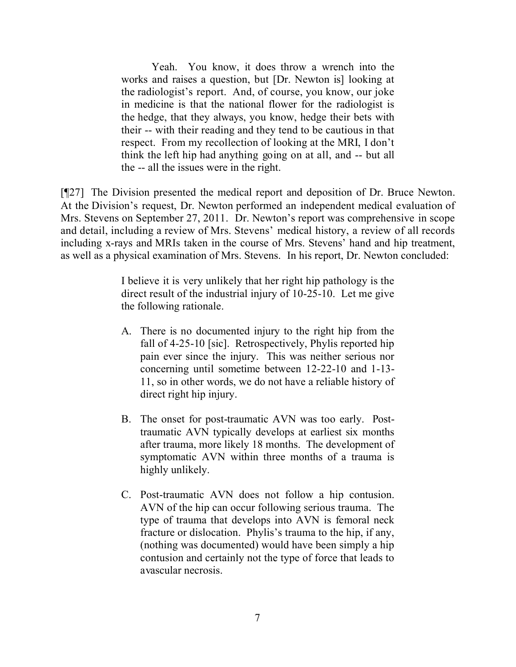Yeah. You know, it does throw a wrench into the works and raises a question, but [Dr. Newton is] looking at the radiologist's report. And, of course, you know, our joke in medicine is that the national flower for the radiologist is the hedge, that they always, you know, hedge their bets with their -- with their reading and they tend to be cautious in that respect. From my recollection of looking at the MRI, I don't think the left hip had anything going on at all, and -- but all the -- all the issues were in the right.

[¶27] The Division presented the medical report and deposition of Dr. Bruce Newton. At the Division's request, Dr. Newton performed an independent medical evaluation of Mrs. Stevens on September 27, 2011. Dr. Newton's report was comprehensive in scope and detail, including a review of Mrs. Stevens' medical history, a review of all records including x-rays and MRIs taken in the course of Mrs. Stevens' hand and hip treatment, as well as a physical examination of Mrs. Stevens. In his report, Dr. Newton concluded:

> I believe it is very unlikely that her right hip pathology is the direct result of the industrial injury of 10-25-10. Let me give the following rationale.

- A. There is no documented injury to the right hip from the fall of 4-25-10 [sic]. Retrospectively, Phylis reported hip pain ever since the injury. This was neither serious nor concerning until sometime between 12-22-10 and 1-13- 11, so in other words, we do not have a reliable history of direct right hip injury.
- B. The onset for post-traumatic AVN was too early. Posttraumatic AVN typically develops at earliest six months after trauma, more likely 18 months. The development of symptomatic AVN within three months of a trauma is highly unlikely.
- C. Post-traumatic AVN does not follow a hip contusion. AVN of the hip can occur following serious trauma. The type of trauma that develops into AVN is femoral neck fracture or dislocation. Phylis's trauma to the hip, if any, (nothing was documented) would have been simply a hip contusion and certainly not the type of force that leads to avascular necrosis.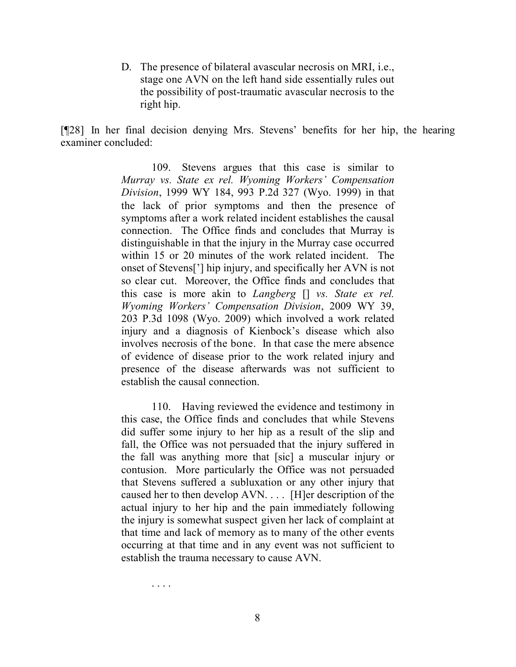D. The presence of bilateral avascular necrosis on MRI, i.e., stage one AVN on the left hand side essentially rules out the possibility of post-traumatic avascular necrosis to the right hip.

[¶28] In her final decision denying Mrs. Stevens' benefits for her hip, the hearing examiner concluded:

> 109. Stevens argues that this case is similar to *Murray vs. State ex rel. Wyoming Workers' Compensation Division*, 1999 WY 184, 993 P.2d 327 (Wyo. 1999) in that the lack of prior symptoms and then the presence of symptoms after a work related incident establishes the causal connection. The Office finds and concludes that Murray is distinguishable in that the injury in the Murray case occurred within 15 or 20 minutes of the work related incident. The onset of Stevens['] hip injury, and specifically her AVN is not so clear cut. Moreover, the Office finds and concludes that this case is more akin to *Langberg* [] *vs. State ex rel. Wyoming Workers' Compensation Division*, 2009 WY 39, 203 P.3d 1098 (Wyo. 2009) which involved a work related injury and a diagnosis of Kienbock's disease which also involves necrosis of the bone. In that case the mere absence of evidence of disease prior to the work related injury and presence of the disease afterwards was not sufficient to establish the causal connection.

> 110. Having reviewed the evidence and testimony in this case, the Office finds and concludes that while Stevens did suffer some injury to her hip as a result of the slip and fall, the Office was not persuaded that the injury suffered in the fall was anything more that [sic] a muscular injury or contusion. More particularly the Office was not persuaded that Stevens suffered a subluxation or any other injury that caused her to then develop AVN. . . . [H]er description of the actual injury to her hip and the pain immediately following the injury is somewhat suspect given her lack of complaint at that time and lack of memory as to many of the other events occurring at that time and in any event was not sufficient to establish the trauma necessary to cause AVN.

> > 8

. . . .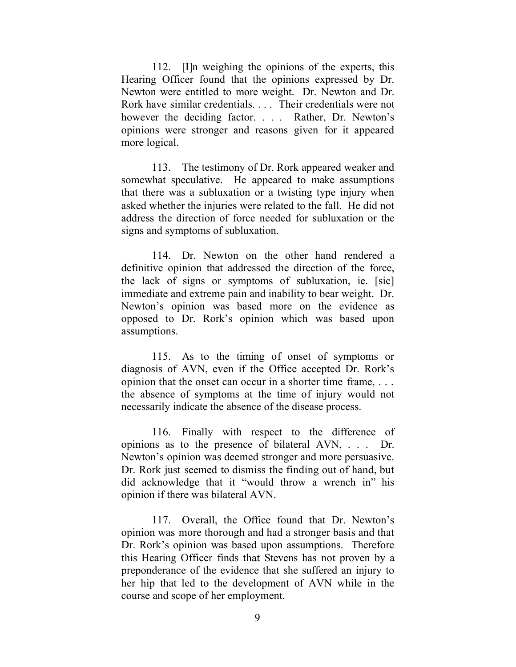112. [I]n weighing the opinions of the experts, this Hearing Officer found that the opinions expressed by Dr. Newton were entitled to more weight. Dr. Newton and Dr. Rork have similar credentials. . . . Their credentials were not however the deciding factor. . . . Rather, Dr. Newton's opinions were stronger and reasons given for it appeared more logical.

113. The testimony of Dr. Rork appeared weaker and somewhat speculative. He appeared to make assumptions that there was a subluxation or a twisting type injury when asked whether the injuries were related to the fall. He did not address the direction of force needed for subluxation or the signs and symptoms of subluxation.

114. Dr. Newton on the other hand rendered a definitive opinion that addressed the direction of the force, the lack of signs or symptoms of subluxation, ie. [sic] immediate and extreme pain and inability to bear weight. Dr. Newton's opinion was based more on the evidence as opposed to Dr. Rork's opinion which was based upon assumptions.

115. As to the timing of onset of symptoms or diagnosis of AVN, even if the Office accepted Dr. Rork's opinion that the onset can occur in a shorter time frame, . . . the absence of symptoms at the time of injury would not necessarily indicate the absence of the disease process.

116. Finally with respect to the difference of opinions as to the presence of bilateral AVN, . . . Dr. Newton's opinion was deemed stronger and more persuasive. Dr. Rork just seemed to dismiss the finding out of hand, but did acknowledge that it "would throw a wrench in" his opinion if there was bilateral AVN.

117. Overall, the Office found that Dr. Newton's opinion was more thorough and had a stronger basis and that Dr. Rork's opinion was based upon assumptions. Therefore this Hearing Officer finds that Stevens has not proven by a preponderance of the evidence that she suffered an injury to her hip that led to the development of AVN while in the course and scope of her employment.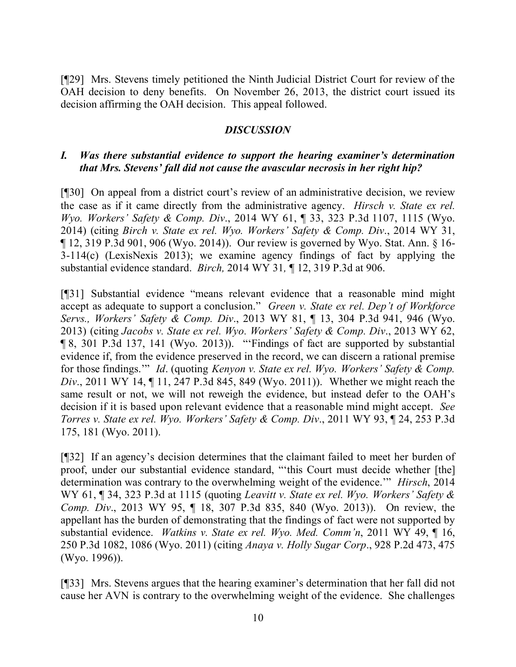[¶29] Mrs. Stevens timely petitioned the Ninth Judicial District Court for review of the OAH decision to deny benefits. On November 26, 2013, the district court issued its decision affirming the OAH decision. This appeal followed.

### *DISCUSSION*

## *I. Was there substantial evidence to support the hearing examiner's determination that Mrs. Stevens' fall did not cause the avascular necrosis in her right hip?*

[¶30] On appeal from a district court's review of an administrative decision, we review the case as if it came directly from the administrative agency. *Hirsch v. State ex rel. Wyo. Workers' Safety & Comp. Div*., 2014 WY 61, ¶ 33, 323 P.3d 1107, 1115 (Wyo. 2014) (citing *Birch v. State ex rel. Wyo. Workers' Safety & Comp. Div*., 2014 WY 31, ¶ 12, 319 P.3d 901, 906 (Wyo. 2014)). Our review is governed by Wyo. Stat. Ann. § 16- 3-114(c) (LexisNexis 2013); we examine agency findings of fact by applying the substantial evidence standard. *Birch,* 2014 WY 31*,* ¶ 12, 319 P.3d at 906.

[¶31] Substantial evidence "means relevant evidence that a reasonable mind might accept as adequate to support a conclusion." *Green v. State ex rel. Dep't of Workforce Servs., Workers' Safety & Comp. Div*., 2013 WY 81, ¶ 13, 304 P.3d 941, 946 (Wyo. 2013) (citing *Jacobs v. State ex rel. Wyo. Workers' Safety & Comp. Div*., 2013 WY 62, ¶ 8, 301 P.3d 137, 141 (Wyo. 2013)). "'Findings of fact are supported by substantial evidence if, from the evidence preserved in the record, we can discern a rational premise for those findings.'" *Id*. (quoting *Kenyon v. State ex rel. Wyo. Workers' Safety & Comp. Div*., 2011 WY 14, ¶ 11, 247 P.3d 845, 849 (Wyo. 2011)). Whether we might reach the same result or not, we will not reweigh the evidence, but instead defer to the OAH's decision if it is based upon relevant evidence that a reasonable mind might accept. *See Torres v. State ex rel. Wyo. Workers' Safety & Comp. Div*., 2011 WY 93, ¶ 24, 253 P.3d 175, 181 (Wyo. 2011).

[¶32] If an agency's decision determines that the claimant failed to meet her burden of proof, under our substantial evidence standard, "'this Court must decide whether [the] determination was contrary to the overwhelming weight of the evidence.'" *Hirsch*, 2014 WY 61, ¶ 34, 323 P.3d at 1115 (quoting *Leavitt v. State ex rel. Wyo. Workers' Safety & Comp. Div*., 2013 WY 95, ¶ 18, 307 P.3d 835, 840 (Wyo. 2013)). On review, the appellant has the burden of demonstrating that the findings of fact were not supported by substantial evidence. *Watkins v. State ex rel. Wyo. Med. Comm'n*, 2011 WY 49, ¶ 16, 250 P.3d 1082, 1086 (Wyo. 2011) (citing *Anaya v. Holly Sugar Corp*., 928 P.2d 473, 475 (Wyo. 1996)).

[¶33] Mrs. Stevens argues that the hearing examiner's determination that her fall did not cause her AVN is contrary to the overwhelming weight of the evidence. She challenges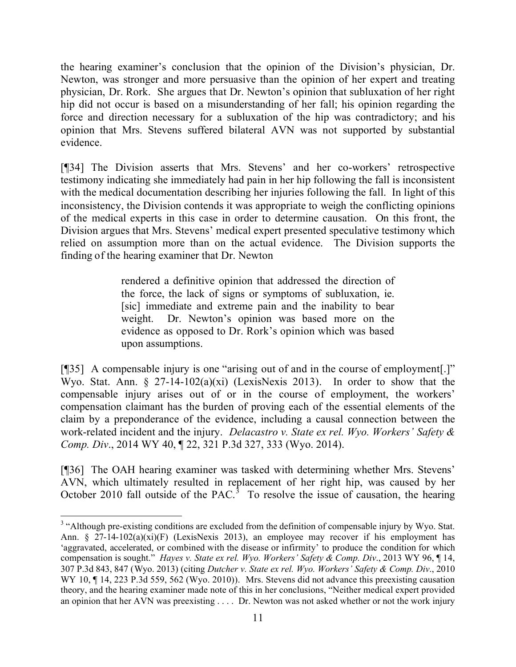the hearing examiner's conclusion that the opinion of the Division's physician, Dr. Newton, was stronger and more persuasive than the opinion of her expert and treating physician, Dr. Rork. She argues that Dr. Newton's opinion that subluxation of her right hip did not occur is based on a misunderstanding of her fall; his opinion regarding the force and direction necessary for a subluxation of the hip was contradictory; and his opinion that Mrs. Stevens suffered bilateral AVN was not supported by substantial evidence.

[¶34] The Division asserts that Mrs. Stevens' and her co-workers' retrospective testimony indicating she immediately had pain in her hip following the fall is inconsistent with the medical documentation describing her injuries following the fall. In light of this inconsistency, the Division contends it was appropriate to weigh the conflicting opinions of the medical experts in this case in order to determine causation. On this front, the Division argues that Mrs. Stevens' medical expert presented speculative testimony which relied on assumption more than on the actual evidence. The Division supports the finding of the hearing examiner that Dr. Newton

> rendered a definitive opinion that addressed the direction of the force, the lack of signs or symptoms of subluxation, ie. [sic] immediate and extreme pain and the inability to bear weight. Dr. Newton's opinion was based more on the evidence as opposed to Dr. Rork's opinion which was based upon assumptions.

[¶35] A compensable injury is one "arising out of and in the course of employment[.]" Wyo. Stat. Ann. § 27-14-102(a)(xi) (LexisNexis 2013). In order to show that the compensable injury arises out of or in the course of employment, the workers' compensation claimant has the burden of proving each of the essential elements of the claim by a preponderance of the evidence, including a causal connection between the work-related incident and the injury. *Delacastro v. State ex rel. Wyo. Workers' Safety & Comp. Div*., 2014 WY 40, ¶ 22, 321 P.3d 327, 333 (Wyo. 2014).

[¶36] The OAH hearing examiner was tasked with determining whether Mrs. Stevens' AVN, which ultimately resulted in replacement of her right hip, was caused by her October 2010 fall outside of the PAC.<sup>3</sup> To resolve the issue of causation, the hearing

<sup>&</sup>lt;sup>3</sup> "Although pre-existing conditions are excluded from the definition of compensable injury by Wyo. Stat. Ann. § 27-14-102(a)(xi)(F) (LexisNexis 2013), an employee may recover if his employment has 'aggravated, accelerated, or combined with the disease or infirmity' to produce the condition for which compensation is sought." *Hayes v. State ex rel. Wyo. Workers' Safety & Comp. Div*., 2013 WY 96, ¶ 14, 307 P.3d 843, 847 (Wyo. 2013) (citing *Dutcher v. State ex rel. Wyo. Workers' Safety & Comp. Div*., 2010 WY 10,  $\P$  14, 223 P.3d 559, 562 (Wyo. 2010)). Mrs. Stevens did not advance this preexisting causation theory, and the hearing examiner made note of this in her conclusions, "Neither medical expert provided an opinion that her AVN was preexisting . . . . Dr. Newton was not asked whether or not the work injury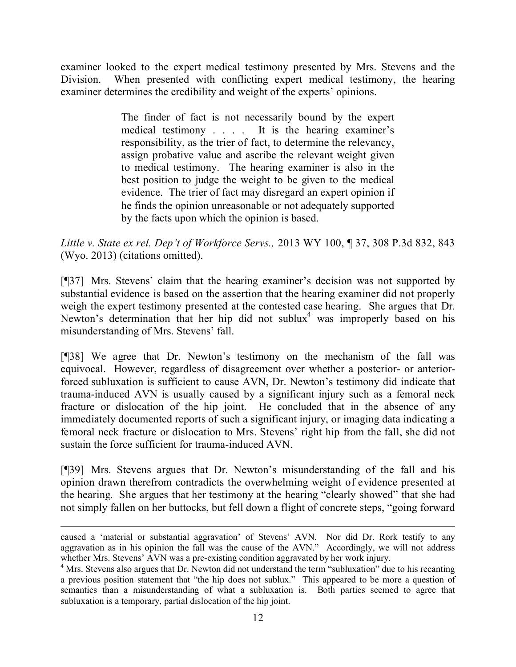examiner looked to the expert medical testimony presented by Mrs. Stevens and the Division. When presented with conflicting expert medical testimony, the hearing examiner determines the credibility and weight of the experts' opinions.

> The finder of fact is not necessarily bound by the expert medical testimony . . . . It is the hearing examiner's responsibility, as the trier of fact, to determine the relevancy, assign probative value and ascribe the relevant weight given to medical testimony. The hearing examiner is also in the best position to judge the weight to be given to the medical evidence. The trier of fact may disregard an expert opinion if he finds the opinion unreasonable or not adequately supported by the facts upon which the opinion is based.

*Little v. State ex rel. Dep't of Workforce Servs.,* 2013 WY 100, ¶ 37, 308 P.3d 832, 843 (Wyo. 2013) (citations omitted).

[¶37] Mrs. Stevens' claim that the hearing examiner's decision was not supported by substantial evidence is based on the assertion that the hearing examiner did not properly weigh the expert testimony presented at the contested case hearing. She argues that Dr. Newton's determination that her hip did not sublux<sup>4</sup> was improperly based on his misunderstanding of Mrs. Stevens' fall.

[¶38] We agree that Dr. Newton's testimony on the mechanism of the fall was equivocal. However, regardless of disagreement over whether a posterior- or anteriorforced subluxation is sufficient to cause AVN, Dr. Newton's testimony did indicate that trauma-induced AVN is usually caused by a significant injury such as a femoral neck fracture or dislocation of the hip joint. He concluded that in the absence of any immediately documented reports of such a significant injury, or imaging data indicating a femoral neck fracture or dislocation to Mrs. Stevens' right hip from the fall, she did not sustain the force sufficient for trauma-induced AVN.

[¶39] Mrs. Stevens argues that Dr. Newton's misunderstanding of the fall and his opinion drawn therefrom contradicts the overwhelming weight of evidence presented at the hearing. She argues that her testimony at the hearing "clearly showed" that she had not simply fallen on her buttocks, but fell down a flight of concrete steps, "going forward

caused a 'material or substantial aggravation' of Stevens' AVN. Nor did Dr. Rork testify to any aggravation as in his opinion the fall was the cause of the AVN." Accordingly, we will not address whether Mrs. Stevens' AVN was a pre-existing condition aggravated by her work injury.

<sup>&</sup>lt;sup>4</sup> Mrs. Stevens also argues that Dr. Newton did not understand the term "subluxation" due to his recanting a previous position statement that "the hip does not sublux." This appeared to be more a question of semantics than a misunderstanding of what a subluxation is. Both parties seemed to agree that subluxation is a temporary, partial dislocation of the hip joint.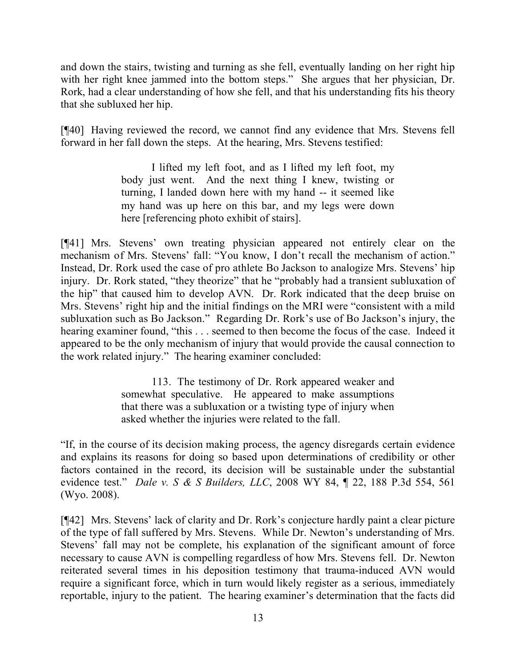and down the stairs, twisting and turning as she fell, eventually landing on her right hip with her right knee jammed into the bottom steps." She argues that her physician, Dr. Rork, had a clear understanding of how she fell, and that his understanding fits his theory that she subluxed her hip.

[¶40] Having reviewed the record, we cannot find any evidence that Mrs. Stevens fell forward in her fall down the steps. At the hearing, Mrs. Stevens testified:

> I lifted my left foot, and as I lifted my left foot, my body just went. And the next thing I knew, twisting or turning, I landed down here with my hand -- it seemed like my hand was up here on this bar, and my legs were down here [referencing photo exhibit of stairs].

[¶41] Mrs. Stevens' own treating physician appeared not entirely clear on the mechanism of Mrs. Stevens' fall: "You know, I don't recall the mechanism of action." Instead, Dr. Rork used the case of pro athlete Bo Jackson to analogize Mrs. Stevens' hip injury. Dr. Rork stated, "they theorize" that he "probably had a transient subluxation of the hip" that caused him to develop AVN. Dr. Rork indicated that the deep bruise on Mrs. Stevens' right hip and the initial findings on the MRI were "consistent with a mild subluxation such as Bo Jackson." Regarding Dr. Rork's use of Bo Jackson's injury, the hearing examiner found, "this . . . seemed to then become the focus of the case. Indeed it appeared to be the only mechanism of injury that would provide the causal connection to the work related injury." The hearing examiner concluded:

> 113. The testimony of Dr. Rork appeared weaker and somewhat speculative. He appeared to make assumptions that there was a subluxation or a twisting type of injury when asked whether the injuries were related to the fall.

"If, in the course of its decision making process, the agency disregards certain evidence and explains its reasons for doing so based upon determinations of credibility or other factors contained in the record, its decision will be sustainable under the substantial evidence test." *Dale v. S & S Builders, LLC*, 2008 WY 84, ¶ 22, 188 P.3d 554, 561 (Wyo. 2008).

[¶42] Mrs. Stevens' lack of clarity and Dr. Rork's conjecture hardly paint a clear picture of the type of fall suffered by Mrs. Stevens. While Dr. Newton's understanding of Mrs. Stevens' fall may not be complete, his explanation of the significant amount of force necessary to cause AVN is compelling regardless of how Mrs. Stevens fell. Dr. Newton reiterated several times in his deposition testimony that trauma-induced AVN would require a significant force, which in turn would likely register as a serious, immediately reportable, injury to the patient. The hearing examiner's determination that the facts did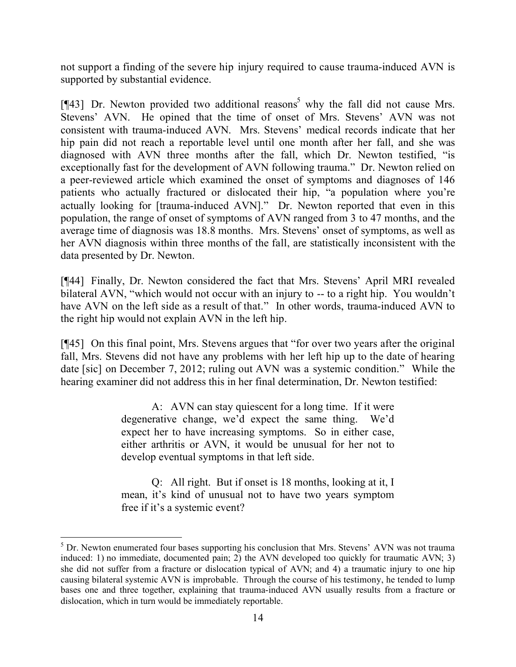not support a finding of the severe hip injury required to cause trauma-induced AVN is supported by substantial evidence.

[ $[$ 43] Dr. Newton provided two additional reasons<sup>5</sup> why the fall did not cause Mrs. Stevens' AVN. He opined that the time of onset of Mrs. Stevens' AVN was not consistent with trauma-induced AVN. Mrs. Stevens' medical records indicate that her hip pain did not reach a reportable level until one month after her fall, and she was diagnosed with AVN three months after the fall, which Dr. Newton testified, "is exceptionally fast for the development of AVN following trauma." Dr. Newton relied on a peer-reviewed article which examined the onset of symptoms and diagnoses of 146 patients who actually fractured or dislocated their hip, "a population where you're actually looking for [trauma-induced AVN]." Dr. Newton reported that even in this population, the range of onset of symptoms of AVN ranged from 3 to 47 months, and the average time of diagnosis was 18.8 months. Mrs. Stevens' onset of symptoms, as well as her AVN diagnosis within three months of the fall, are statistically inconsistent with the data presented by Dr. Newton.

[¶44] Finally, Dr. Newton considered the fact that Mrs. Stevens' April MRI revealed bilateral AVN, "which would not occur with an injury to -- to a right hip. You wouldn't have AVN on the left side as a result of that." In other words, trauma-induced AVN to the right hip would not explain AVN in the left hip.

[¶45] On this final point, Mrs. Stevens argues that "for over two years after the original fall, Mrs. Stevens did not have any problems with her left hip up to the date of hearing date [sic] on December 7, 2012; ruling out AVN was a systemic condition." While the hearing examiner did not address this in her final determination, Dr. Newton testified:

> A: AVN can stay quiescent for a long time. If it were degenerative change, we'd expect the same thing. We'd expect her to have increasing symptoms. So in either case, either arthritis or AVN, it would be unusual for her not to develop eventual symptoms in that left side.

> Q: All right. But if onset is 18 months, looking at it, I mean, it's kind of unusual not to have two years symptom free if it's a systemic event?

 $<sup>5</sup>$  Dr. Newton enumerated four bases supporting his conclusion that Mrs. Stevens' AVN was not trauma</sup> induced: 1) no immediate, documented pain; 2) the AVN developed too quickly for traumatic AVN; 3) she did not suffer from a fracture or dislocation typical of AVN; and 4) a traumatic injury to one hip causing bilateral systemic AVN is improbable. Through the course of his testimony, he tended to lump bases one and three together, explaining that trauma-induced AVN usually results from a fracture or dislocation, which in turn would be immediately reportable.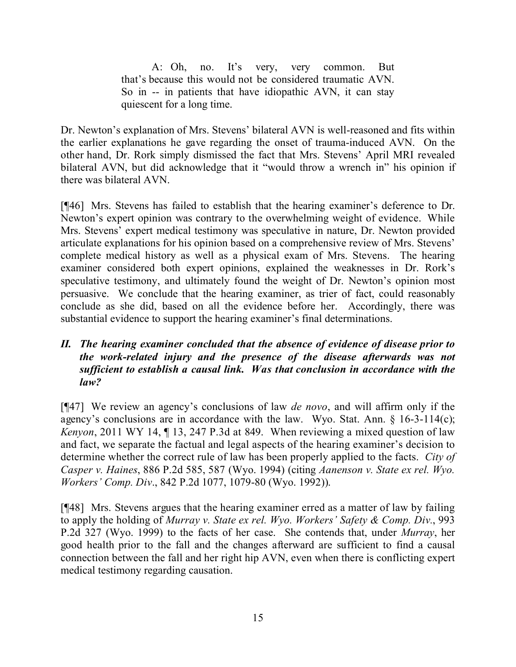A: Oh, no. It's very, very common. But that's because this would not be considered traumatic AVN. So in -- in patients that have idiopathic AVN, it can stay quiescent for a long time.

Dr. Newton's explanation of Mrs. Stevens' bilateral AVN is well-reasoned and fits within the earlier explanations he gave regarding the onset of trauma-induced AVN. On the other hand, Dr. Rork simply dismissed the fact that Mrs. Stevens' April MRI revealed bilateral AVN, but did acknowledge that it "would throw a wrench in" his opinion if there was bilateral AVN.

[¶46] Mrs. Stevens has failed to establish that the hearing examiner's deference to Dr. Newton's expert opinion was contrary to the overwhelming weight of evidence. While Mrs. Stevens' expert medical testimony was speculative in nature, Dr. Newton provided articulate explanations for his opinion based on a comprehensive review of Mrs. Stevens' complete medical history as well as a physical exam of Mrs. Stevens. The hearing examiner considered both expert opinions, explained the weaknesses in Dr. Rork's speculative testimony, and ultimately found the weight of Dr. Newton's opinion most persuasive. We conclude that the hearing examiner, as trier of fact, could reasonably conclude as she did, based on all the evidence before her. Accordingly, there was substantial evidence to support the hearing examiner's final determinations.

## *II. The hearing examiner concluded that the absence of evidence of disease prior to the work-related injury and the presence of the disease afterwards was not sufficient to establish a causal link. Was that conclusion in accordance with the law?*

[¶47] We review an agency's conclusions of law *de novo*, and will affirm only if the agency's conclusions are in accordance with the law. Wyo. Stat. Ann. § 16-3-114(c); *Kenyon*, 2011 WY 14, ¶ 13, 247 P.3d at 849. When reviewing a mixed question of law and fact, we separate the factual and legal aspects of the hearing examiner's decision to determine whether the correct rule of law has been properly applied to the facts. *City of Casper v. Haines*, 886 P.2d 585, 587 (Wyo. 1994) (citing *Aanenson v. State ex rel. Wyo. Workers' Comp. Div*., 842 P.2d 1077, 1079-80 (Wyo. 1992)).

[¶48] Mrs. Stevens argues that the hearing examiner erred as a matter of law by failing to apply the holding of *Murray v. State ex rel. Wyo. Workers' Safety & Comp. Div.*, 993 P.2d 327 (Wyo. 1999) to the facts of her case. She contends that, under *Murray*, her good health prior to the fall and the changes afterward are sufficient to find a causal connection between the fall and her right hip AVN, even when there is conflicting expert medical testimony regarding causation.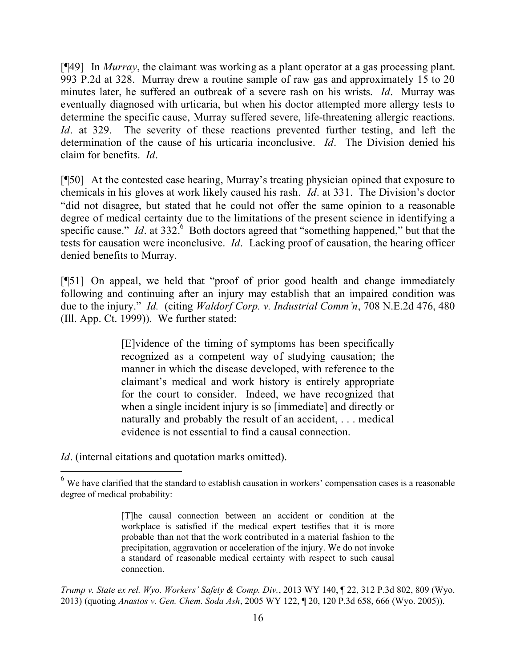[¶49] In *Murray*, the claimant was working as a plant operator at a gas processing plant. 993 P.2d at 328. Murray drew a routine sample of raw gas and approximately 15 to 20 minutes later, he suffered an outbreak of a severe rash on his wrists. *Id*. Murray was eventually diagnosed with urticaria, but when his doctor attempted more allergy tests to determine the specific cause, Murray suffered severe, life-threatening allergic reactions. *Id*. at 329. The severity of these reactions prevented further testing, and left the determination of the cause of his urticaria inconclusive. *Id*. The Division denied his claim for benefits. *Id*.

[¶50] At the contested case hearing, Murray's treating physician opined that exposure to chemicals in his gloves at work likely caused his rash. *Id*. at 331. The Division's doctor "did not disagree, but stated that he could not offer the same opinion to a reasonable degree of medical certainty due to the limitations of the present science in identifying a specific cause." *Id*. at 332. $\frac{6}{5}$  Both doctors agreed that "something happened," but that the tests for causation were inconclusive. *Id*. Lacking proof of causation, the hearing officer denied benefits to Murray.

[¶51] On appeal, we held that "proof of prior good health and change immediately following and continuing after an injury may establish that an impaired condition was due to the injury." *Id.* (citing *Waldorf Corp. v. Industrial Comm'n*, 708 N.E.2d 476, 480 (Ill. App. Ct. 1999)). We further stated:

> [E]vidence of the timing of symptoms has been specifically recognized as a competent way of studying causation; the manner in which the disease developed, with reference to the claimant's medical and work history is entirely appropriate for the court to consider. Indeed, we have recognized that when a single incident injury is so [immediate] and directly or naturally and probably the result of an accident, . . . medical evidence is not essential to find a causal connection.

*Id*. (internal citations and quotation marks omitted).

[T]he causal connection between an accident or condition at the workplace is satisfied if the medical expert testifies that it is more probable than not that the work contributed in a material fashion to the precipitation, aggravation or acceleration of the injury. We do not invoke a standard of reasonable medical certainty with respect to such causal connection.

*Trump v. State ex rel. Wyo. Workers' Safety & Comp. Div.*, 2013 WY 140, ¶ 22, 312 P.3d 802, 809 (Wyo. 2013) (quoting *Anastos v. Gen. Chem. Soda Ash*, 2005 WY 122, ¶ 20, 120 P.3d 658, 666 (Wyo. 2005)).

<sup>&</sup>lt;sup>6</sup> We have clarified that the standard to establish causation in workers' compensation cases is a reasonable degree of medical probability: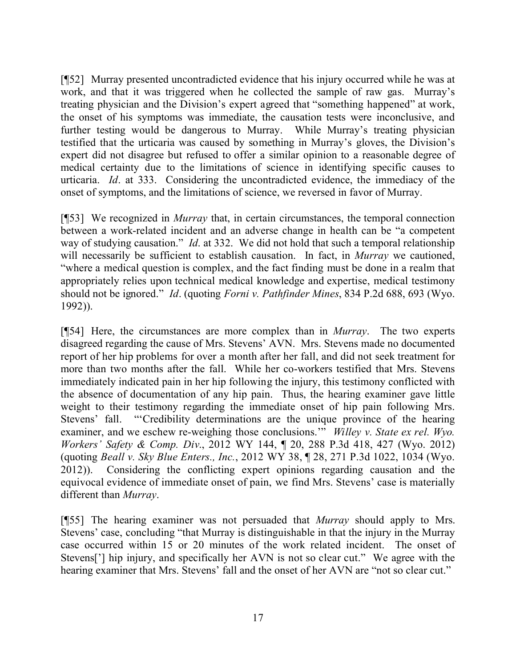[¶52] Murray presented uncontradicted evidence that his injury occurred while he was at work, and that it was triggered when he collected the sample of raw gas. Murray's treating physician and the Division's expert agreed that "something happened" at work, the onset of his symptoms was immediate, the causation tests were inconclusive, and further testing would be dangerous to Murray. While Murray's treating physician testified that the urticaria was caused by something in Murray's gloves, the Division's expert did not disagree but refused to offer a similar opinion to a reasonable degree of medical certainty due to the limitations of science in identifying specific causes to urticaria. *Id*. at 333. Considering the uncontradicted evidence, the immediacy of the onset of symptoms, and the limitations of science, we reversed in favor of Murray.

[¶53] We recognized in *Murray* that, in certain circumstances, the temporal connection between a work-related incident and an adverse change in health can be "a competent way of studying causation." *Id*. at 332. We did not hold that such a temporal relationship will necessarily be sufficient to establish causation. In fact, in *Murray* we cautioned, "where a medical question is complex, and the fact finding must be done in a realm that appropriately relies upon technical medical knowledge and expertise, medical testimony should not be ignored." *Id*. (quoting *Forni v. Pathfinder Mines*, 834 P.2d 688, 693 (Wyo. 1992)).

[¶54] Here, the circumstances are more complex than in *Murray*. The two experts disagreed regarding the cause of Mrs. Stevens' AVN. Mrs. Stevens made no documented report of her hip problems for over a month after her fall, and did not seek treatment for more than two months after the fall. While her co-workers testified that Mrs. Stevens immediately indicated pain in her hip following the injury, this testimony conflicted with the absence of documentation of any hip pain. Thus, the hearing examiner gave little weight to their testimony regarding the immediate onset of hip pain following Mrs. Stevens' fall. "'Credibility determinations are the unique province of the hearing examiner, and we eschew re-weighing those conclusions.'" *Willey v. State ex rel. Wyo. Workers' Safety & Comp. Div*., 2012 WY 144, ¶ 20, 288 P.3d 418, 427 (Wyo. 2012) (quoting *Beall v. Sky Blue Enters., Inc.*, 2012 WY 38, ¶ 28, 271 P.3d 1022, 1034 (Wyo. 2012)). Considering the conflicting expert opinions regarding causation and the equivocal evidence of immediate onset of pain, we find Mrs. Stevens' case is materially different than *Murray*.

[¶55] The hearing examiner was not persuaded that *Murray* should apply to Mrs. Stevens' case, concluding "that Murray is distinguishable in that the injury in the Murray case occurred within 15 or 20 minutes of the work related incident. The onset of Stevens['] hip injury, and specifically her AVN is not so clear cut." We agree with the hearing examiner that Mrs. Stevens' fall and the onset of her AVN are "not so clear cut."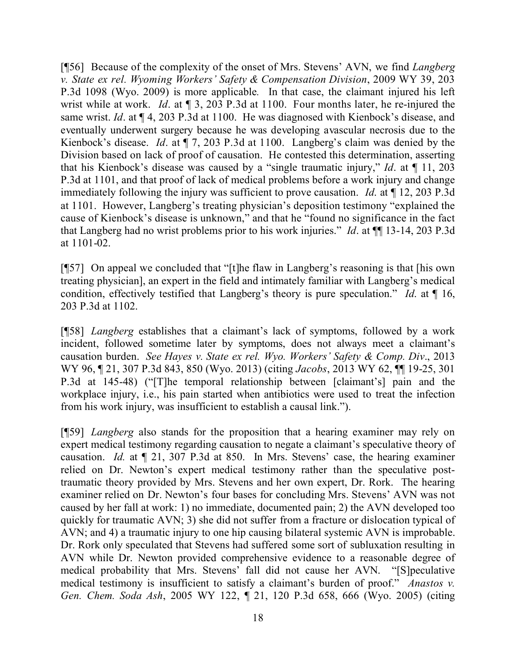[¶56] Because of the complexity of the onset of Mrs. Stevens' AVN, we find *Langberg v. State ex rel. Wyoming Workers' Safety & Compensation Division*, 2009 WY 39, 203 P.3d 1098 (Wyo. 2009) is more applicable*.* In that case, the claimant injured his left wrist while at work. *Id*. at ¶ 3, 203 P.3d at 1100. Four months later, he re-injured the same wrist. *Id*. at ¶ 4, 203 P.3d at 1100. He was diagnosed with Kienbock's disease, and eventually underwent surgery because he was developing avascular necrosis due to the Kienbock's disease. *Id*. at ¶ 7, 203 P.3d at 1100. Langberg's claim was denied by the Division based on lack of proof of causation. He contested this determination, asserting that his Kienbock's disease was caused by a "single traumatic injury," *Id*. at ¶ 11, 203 P.3d at 1101, and that proof of lack of medical problems before a work injury and change immediately following the injury was sufficient to prove causation. *Id*. at ¶ 12, 203 P.3d at 1101. However, Langberg's treating physician's deposition testimony "explained the cause of Kienbock's disease is unknown," and that he "found no significance in the fact that Langberg had no wrist problems prior to his work injuries." *Id*. at ¶¶ 13-14, 203 P.3d at 1101-02.

[¶57] On appeal we concluded that "[t]he flaw in Langberg's reasoning is that [his own treating physician], an expert in the field and intimately familiar with Langberg's medical condition, effectively testified that Langberg's theory is pure speculation." *Id*. at ¶ 16, 203 P.3d at 1102.

[¶58] *Langberg* establishes that a claimant's lack of symptoms, followed by a work incident, followed sometime later by symptoms, does not always meet a claimant's causation burden. *See Hayes v. State ex rel. Wyo. Workers' Safety & Comp. Div*., 2013 WY 96, ¶ 21, 307 P.3d 843, 850 (Wyo. 2013) (citing *Jacobs*, 2013 WY 62, ¶¶ 19-25, 301 P.3d at 145-48) ("[T]he temporal relationship between [claimant's] pain and the workplace injury, i.e., his pain started when antibiotics were used to treat the infection from his work injury, was insufficient to establish a causal link.").

[¶59] *Langberg* also stands for the proposition that a hearing examiner may rely on expert medical testimony regarding causation to negate a claimant's speculative theory of causation. *Id.* at ¶ 21, 307 P.3d at 850. In Mrs. Stevens' case, the hearing examiner relied on Dr. Newton's expert medical testimony rather than the speculative posttraumatic theory provided by Mrs. Stevens and her own expert, Dr. Rork. The hearing examiner relied on Dr. Newton's four bases for concluding Mrs. Stevens' AVN was not caused by her fall at work: 1) no immediate, documented pain; 2) the AVN developed too quickly for traumatic AVN; 3) she did not suffer from a fracture or dislocation typical of AVN; and 4) a traumatic injury to one hip causing bilateral systemic AVN is improbable. Dr. Rork only speculated that Stevens had suffered some sort of subluxation resulting in AVN while Dr. Newton provided comprehensive evidence to a reasonable degree of medical probability that Mrs. Stevens' fall did not cause her AVN. "[S]peculative medical testimony is insufficient to satisfy a claimant's burden of proof." *Anastos v. Gen. Chem. Soda Ash*, 2005 WY 122, ¶ 21, 120 P.3d 658, 666 (Wyo. 2005) (citing